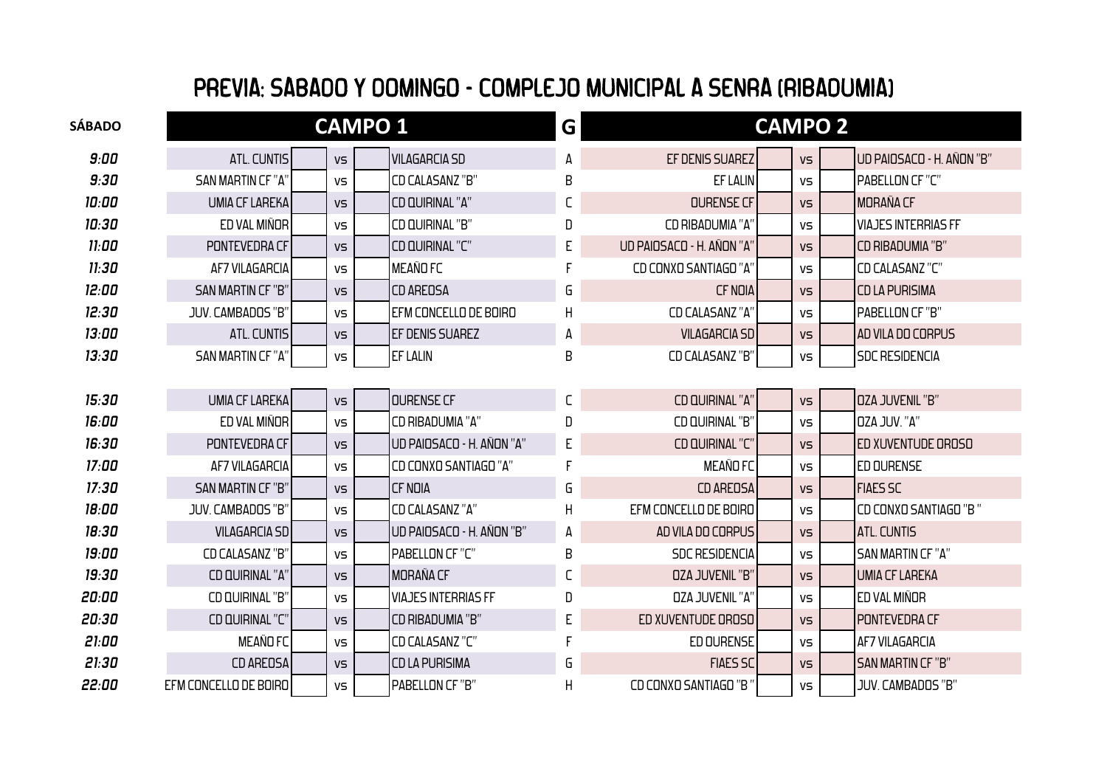## PREVIA: SÁBADO Y DOMINGO - COMPLEJO MUNICIPAL A SENRA (RIBADUMIA)

| SÁBADO |                          |     | <b>CAMPO 1</b> |                            | G |                           | <b>CAMPO 2</b> |                            |
|--------|--------------------------|-----|----------------|----------------------------|---|---------------------------|----------------|----------------------------|
| 9:00   | <b>ATL. CUNTIS</b>       | VS  |                | <b>VILAGARCIA SD</b>       | A | EF DENIS SUAREZ           | VS             | UD PAIOSACO - H. AÑON "B"  |
| 9:30   | <b>SAN MARTIN CF "A"</b> | VS  |                | <b>CD CALASANZ "B"</b>     | B | <b>EF LALIN</b>           | VS             | PABELLON CF "C"            |
| 10:00  | <b>UMIA CF LAREKA</b>    | VS  |                | CD QUIRINAL "A"            | С | <b>OURENSE CF</b>         | VS             | <b>MORAÑA CF</b>           |
| 10:30  | ED VAL MIÑOR             | VS  |                | CD QUIRINAL "B"            | D | CD RIBADUMIA "A"          | VS             | <b>VIAJES INTERRIAS FF</b> |
| 11:00  | PONTEVEDRA CF            | VS  |                | CD QUIRINAL "C"            | E | UD PAIOSACO - H. AÑON "A" | VS             | <b>CD RIBADUMIA "B"</b>    |
| 11:30  | <b>AF7 VILAGARCIA</b>    | VS  |                | <b>MEAÑOFC</b>             |   | CD CONXO SANTIAGO "A"     | VS             | CD CALASANZ "C"            |
| 12:00  | <b>SAN MARTIN CF "B"</b> | VS  |                | <b>CD AREOSA</b>           | G | <b>CF NOIA</b>            | VS             | <b>CD LA PURISIMA</b>      |
| 12:30  | JUV. CAMBADOS "B"        | VS. |                | EFM CONCELLO DE BOIRO      | H | <b>CD CALASANZ "A"</b>    | VS             | PABELLON CF "B"            |
| 13:00  | <b>ATL. CUNTIS</b>       | VS  |                | EF DENIS SUAREZ            | А | <b>VILAGARCIA SD</b>      | VS             | AD VILA DO CORPUS          |
| 13:30  | <b>SAN MARTIN CF "A"</b> | VS  |                | <b>EF LALIN</b>            | B | CD CALASANZ "B"           | VS             | <b>SDC RESIDENCIA</b>      |
|        |                          |     |                |                            |   |                           |                |                            |
| 15:30  | <b>UMIA CF LAREKA</b>    | VS  |                | <b>OURENSE CF</b>          | С | CD QUIRINAL "A"           | VS             | <b>OZA JUVENIL "B"</b>     |
| 16:00  | ED VAL MIÑOR             | VS  |                | CD RIBADUMIA "A"           | D | CD QUIRINAL "B"           | VS             | <b>DZA JUV. "A"</b>        |
| 16:30  | PONTEVEDRA CF            | VS  |                | UD PAIOSACO - H. AÑON "A"  | E | CD QUIRINAL "C"           | VS             | ED XUVENTUDE OROSO         |
| 17:00  | AF7 VILAGARCIA           | VS  |                | CD CONXO SANTIAGO "A"      |   | <b>MEAÑO FC</b>           | VS             | <b>ED OURENSE</b>          |
| 17:30  | <b>SAN MARTIN CF "B"</b> | VS  |                | <b>CF NOIA</b>             | G | <b>CD AREOSA</b>          | VS             | <b>FIAES SC</b>            |
| 18:00  | JUV. CAMBADOS "B"        | VS  |                | <b>CD CALASANZ "A"</b>     | H | EFM CONCELLO DE BOIRO     | VS             | CD CONXO SANTIAGO "B"      |
| 18:30  | <b>VILAGARCIA SD</b>     | VS  |                | UD PAIOSACO - H. AÑON "B"  | А | AD VILA DO CORPUS         | VS             | <b>ATL. CUNTIS</b>         |
| 19:00  | <b>CD CALASANZ "B"</b>   | VS  |                | PABELLON CF "C"            | B | <b>SDC RESIDENCIA</b>     | VS             | <b>SAN MARTIN CF "A"</b>   |
| 19:30  | CD QUIRINAL "A"          | VS  |                | <b>MORAÑA CF</b>           | С | <b>OZA JUVENIL "B"</b>    | VS             | <b>UMIA CF LAREKA</b>      |
| 20:00  | CD QUIRINAL "B"          | VS  |                | <b>VIAJES INTERRIAS FF</b> | D | <b>OZA JUVENIL "A"</b>    | VS             | ED VAL MIÑOR               |
| 20:30  | CD QUIRINAL "C"          | VS  |                | CD RIBADUMIA "B"           | E | ED XUVENTUDE OROSO        | VS             | PONTEVEDRA CF              |
| 21:00  | MEAÑO FC                 | VS  |                | CD CALASANZ "C"            |   | ED OURENSE                | VS             | <b>AF7 VILAGARCIA</b>      |
| 21:30  | CD AREOSA                | VS  |                | <b>CD LA PURISIMA</b>      | G | <b>FIAES SC</b>           | VS             | <b>SAN MARTIN CF "B"</b>   |
| 22:00  | EFM CONCELLO DE BOIRO    | VS  |                | PABELLON CF "B"            | Η | CD CONXO SANTIAGO "B"     | VS             | JUV. CAMBADOS "B"          |